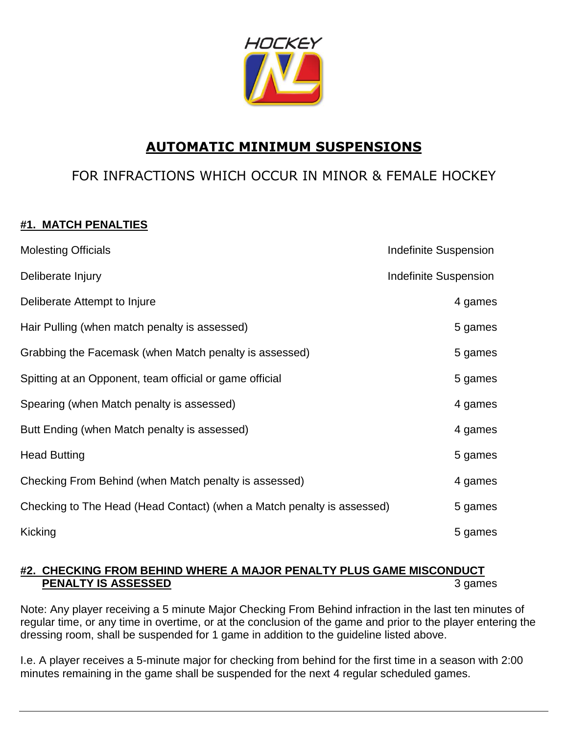

# **AUTOMATIC MINIMUM SUSPENSIONS**

# FOR INFRACTIONS WHICH OCCUR IN MINOR & FEMALE HOCKEY

## **#1. MATCH PENALTIES**

| <b>Molesting Officials</b>                                             | Indefinite Suspension        |
|------------------------------------------------------------------------|------------------------------|
| Deliberate Injury                                                      | <b>Indefinite Suspension</b> |
| Deliberate Attempt to Injure                                           | 4 games                      |
| Hair Pulling (when match penalty is assessed)                          | 5 games                      |
| Grabbing the Facemask (when Match penalty is assessed)                 | 5 games                      |
| Spitting at an Opponent, team official or game official                | 5 games                      |
| Spearing (when Match penalty is assessed)                              | 4 games                      |
| Butt Ending (when Match penalty is assessed)                           | 4 games                      |
| <b>Head Butting</b>                                                    | 5 games                      |
| Checking From Behind (when Match penalty is assessed)                  | 4 games                      |
| Checking to The Head (Head Contact) (when a Match penalty is assessed) | 5 games                      |
| Kicking                                                                | 5 games                      |

## **#2. CHECKING FROM BEHIND WHERE A MAJOR PENALTY PLUS GAME MISCONDUCT PENALTY IS ASSESSED** 3 games

Note: Any player receiving a 5 minute Major Checking From Behind infraction in the last ten minutes of regular time, or any time in overtime, or at the conclusion of the game and prior to the player entering the dressing room, shall be suspended for 1 game in addition to the guideline listed above.

I.e. A player receives a 5-minute major for checking from behind for the first time in a season with 2:00 minutes remaining in the game shall be suspended for the next 4 regular scheduled games.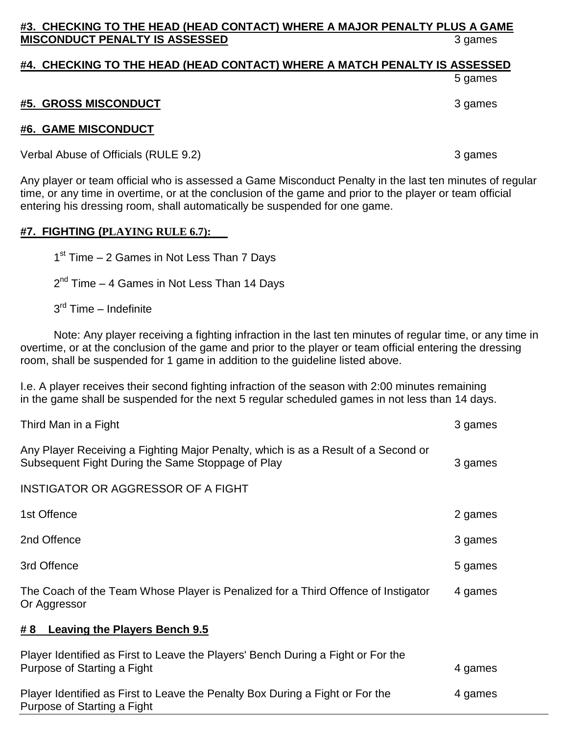## **#3. CHECKING TO THE HEAD (HEAD CONTACT) WHERE A MAJOR PENALTY PLUS A GAME MISCONDUCT PENALTY IS ASSESSED** 3 games

## **#4. CHECKING TO THE HEAD (HEAD CONTACT) WHERE A MATCH PENALTY IS ASSESSED**

5 games

### **#5. GROSS MISCONDUCT** 3 games

#### **#6. GAME MISCONDUCT**

Verbal Abuse of Officials (RULE 9.2) 3 games

Any player or team official who is assessed a Game Misconduct Penalty in the last ten minutes of regular time, or any time in overtime, or at the conclusion of the game and prior to the player or team official entering his dressing room, shall automatically be suspended for one game.

#### **#7. FIGHTING (PLAYING RULE 6.7):**

1<sup>st</sup> Time - 2 Games in Not Less Than 7 Days

2<sup>nd</sup> Time – 4 Games in Not Less Than 14 Days

3<sup>rd</sup> Time – Indefinite

 Note: Any player receiving a fighting infraction in the last ten minutes of regular time, or any time in overtime, or at the conclusion of the game and prior to the player or team official entering the dressing room, shall be suspended for 1 game in addition to the guideline listed above.

I.e. A player receives their second fighting infraction of the season with 2:00 minutes remaining in the game shall be suspended for the next 5 regular scheduled games in not less than 14 days.

| Third Man in a Fight                                                                                                                    | 3 games |
|-----------------------------------------------------------------------------------------------------------------------------------------|---------|
| Any Player Receiving a Fighting Major Penalty, which is as a Result of a Second or<br>Subsequent Fight During the Same Stoppage of Play | 3 games |
| <b>INSTIGATOR OR AGGRESSOR OF A FIGHT</b>                                                                                               |         |
| 1st Offence                                                                                                                             | 2 games |
| 2nd Offence                                                                                                                             | 3 games |
| 3rd Offence                                                                                                                             | 5 games |
| The Coach of the Team Whose Player is Penalized for a Third Offence of Instigator<br>Or Aggressor                                       | 4 games |
| #8 Leaving the Players Bench 9.5                                                                                                        |         |
| Player Identified as First to Leave the Players' Bench During a Fight or For the<br>Purpose of Starting a Fight                         | 4 games |
| Player Identified as First to Leave the Penalty Box During a Fight or For the<br>Purpose of Starting a Fight                            | 4 games |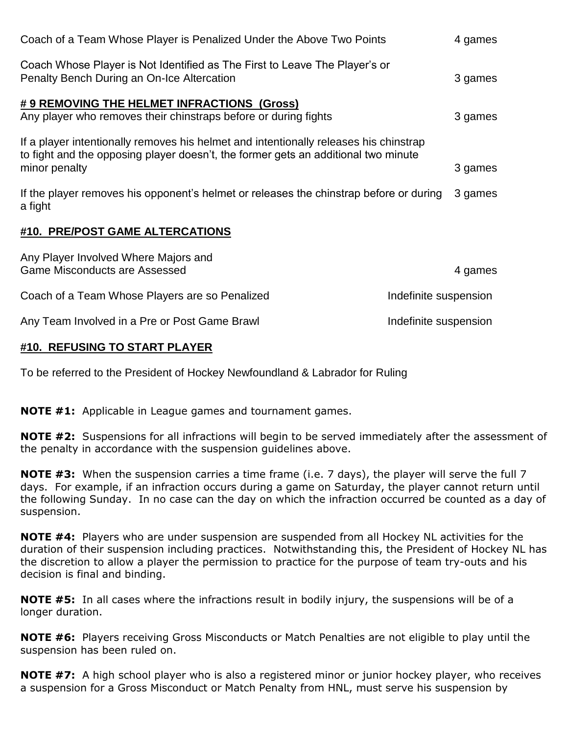| Coach of a Team Whose Player is Penalized Under the Above Two Points                                                                                                        |                       | 4 games |  |
|-----------------------------------------------------------------------------------------------------------------------------------------------------------------------------|-----------------------|---------|--|
| Coach Whose Player is Not Identified as The First to Leave The Player's or<br>Penalty Bench During an On-Ice Altercation                                                    |                       | 3 games |  |
| # 9 REMOVING THE HELMET INFRACTIONS (Gross)                                                                                                                                 |                       |         |  |
| Any player who removes their chinstraps before or during fights                                                                                                             |                       | 3 games |  |
| If a player intentionally removes his helmet and intentionally releases his chinstrap<br>to fight and the opposing player doesn't, the former gets an additional two minute |                       |         |  |
| minor penalty                                                                                                                                                               |                       | 3 games |  |
| If the player removes his opponent's helmet or releases the chinstrap before or during<br>a fight                                                                           |                       | 3 games |  |
| #10. PRE/POST GAME ALTERCATIONS                                                                                                                                             |                       |         |  |
| Any Player Involved Where Majors and<br><b>Game Misconducts are Assessed</b>                                                                                                |                       | 4 games |  |
| Coach of a Team Whose Players are so Penalized                                                                                                                              | Indefinite suspension |         |  |
| Any Team Involved in a Pre or Post Game Brawl                                                                                                                               | Indefinite suspension |         |  |

### **#10. REFUSING TO START PLAYER**

To be referred to the President of Hockey Newfoundland & Labrador for Ruling

**NOTE #1:** Applicable in League games and tournament games.

**NOTE #2:** Suspensions for all infractions will begin to be served immediately after the assessment of the penalty in accordance with the suspension guidelines above.

**NOTE #3:** When the suspension carries a time frame (i.e. 7 days), the player will serve the full 7 days. For example, if an infraction occurs during a game on Saturday, the player cannot return until the following Sunday. In no case can the day on which the infraction occurred be counted as a day of suspension.

**NOTE #4:** Players who are under suspension are suspended from all Hockey NL activities for the duration of their suspension including practices. Notwithstanding this, the President of Hockey NL has the discretion to allow a player the permission to practice for the purpose of team try-outs and his decision is final and binding.

**NOTE #5:** In all cases where the infractions result in bodily injury, the suspensions will be of a longer duration.

**NOTE #6:** Players receiving Gross Misconducts or Match Penalties are not eligible to play until the suspension has been ruled on.

**NOTE #7:** A high school player who is also a registered minor or junior hockey player, who receives a suspension for a Gross Misconduct or Match Penalty from HNL, must serve his suspension by